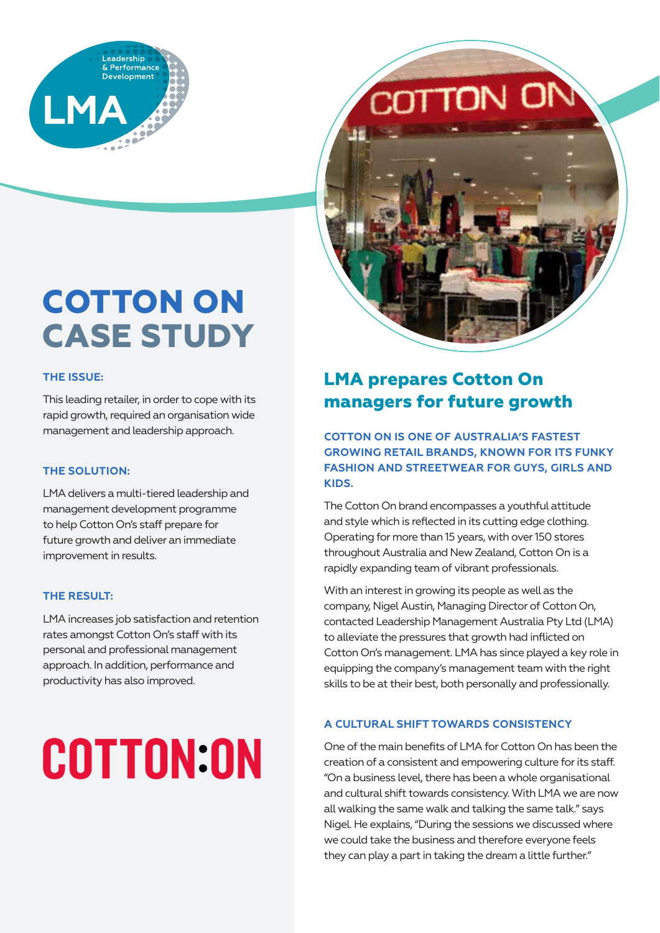

# **COTTON OF**



## **COTTON ON CASE STUDY**

## **THE ISSUE:**

This leading retailer, in order to cope with its rapid growth, required an organisation wide management and leadership approach.

## **THE SOLUTION:**

LMA delivers a multi-tiered leadership and management development programme to help Cotton On's staff prepare for future growth and deliver an immediate improvement in results.

## **THE RESULT:**

LMA increases job satisfaction and retention rates amongst Cotton On's staff with its personal and professional management approach. In addition, performance and productivity has also improved.

# **COTTON:ON**

## **LMA prepares Cotton On managers for future growth**

**COTTON ON IS ONE OF AUSTRALIA'S FASTEST GROWING RETAIL BRANDS, KNOWN FOR ITS FUNKY FASHION AND STREETWEAR FOR GUYS, GIRLS AND KIDS.**

The Cotton On brand encompasses a youthful attitude and style which is reflected in its cutting edge clothing. Operating for more than 15 years, with over 150 stores throughout Australia and New Zealand, Cotton On is a rapidly expanding team of vibrant professionals.

With an interest in growing its people as well as the company, Nigel Austin, Managing Director of Cotton On, contacted Leadership Management Australia Pty Ltd (LMA) to alleviate the pressures that growth had inflicted on Cotton On's management. LMA has since played a key role in equipping the company's management team with the right skills to be at their best, both personally and professionally.

## **A CULTURAL SHIFT TOWARDS CONSISTENCY**

One of the main benefits of LMA for Cotton On has been the creation of a consistent and empowering culture for its staff. "On a business level, there has been a whole organisational and cultural shift towards consistency. With LMA we are now all walking the same walk and talking the same talk." says Nigel. He explains, "During the sessions we discussed where we could take the business and therefore everyone feels they can play a part in taking the dream a little further."